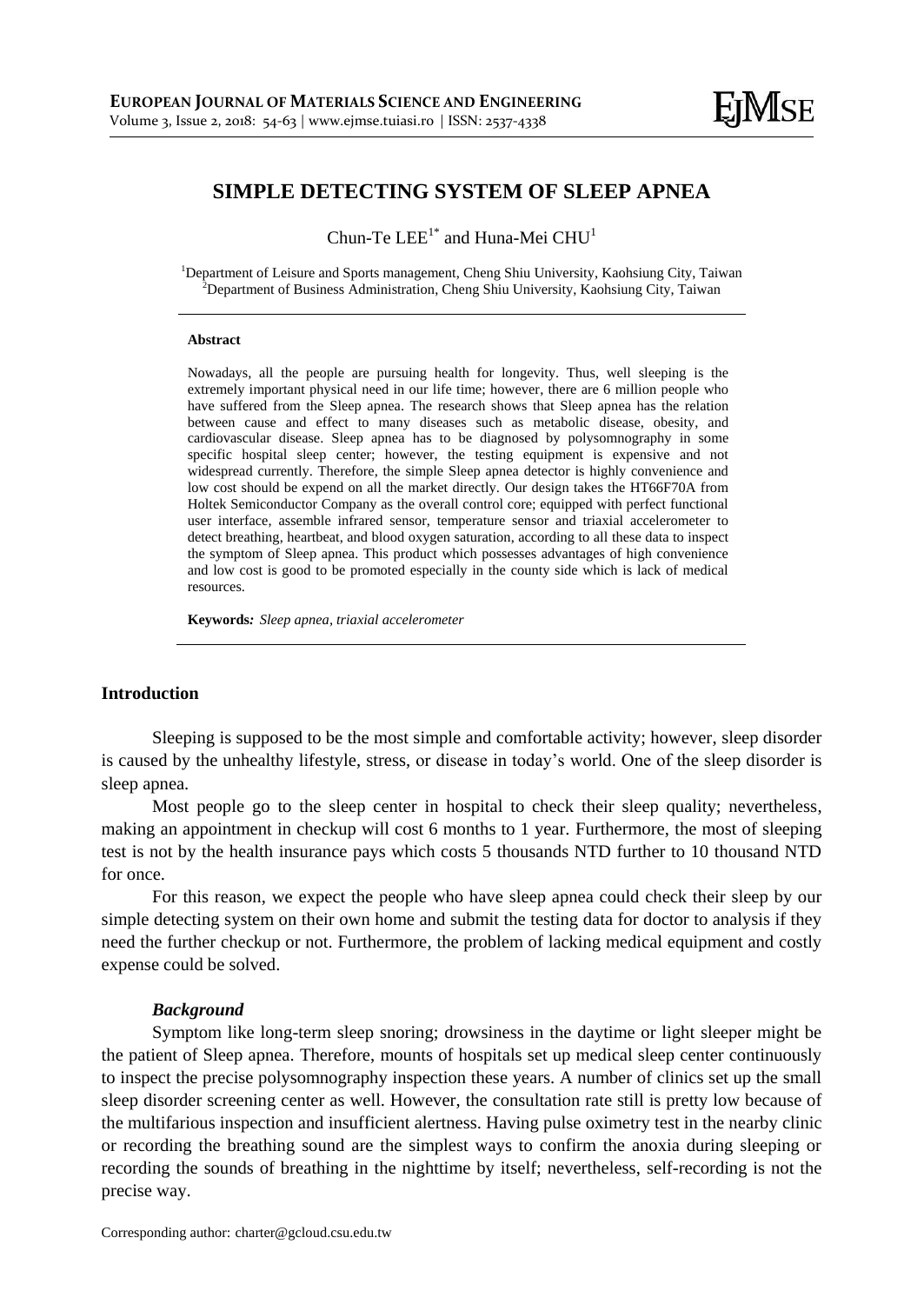# **SIMPLE DETECTING SYSTEM OF SLEEP APNEA**

Chun-Te  $\text{LEE}^{1^*}$  and Huna-Mei  $\text{CHU}^{1}$ 

<sup>1</sup>Department of Leisure and Sports management, Cheng Shiu University, Kaohsiung City, Taiwan <sup>2</sup>Department of Business Administration, Cheng Shiu University, Kaohsiung City, Taiwan

#### **Abstract**

Nowadays, all the people are pursuing health for longevity. Thus, well sleeping is the extremely important physical need in our life time; however, there are 6 million people who have suffered from the Sleep apnea. The research shows that Sleep apnea has the relation between cause and effect to many diseases such as metabolic disease, obesity, and cardiovascular disease. Sleep apnea has to be diagnosed by polysomnography in some specific hospital sleep center; however, the testing equipment is expensive and not widespread currently. Therefore, the simple Sleep apnea detector is highly convenience and low cost should be expend on all the market directly. Our design takes the HT66F70A from Holtek Semiconductor Company as the overall control core; equipped with perfect functional user interface, assemble infrared sensor, temperature sensor and triaxial accelerometer to detect breathing, heartbeat, and blood oxygen saturation, according to all these data to inspect the symptom of Sleep apnea. This product which possesses advantages of high convenience and low cost is good to be promoted especially in the county side which is lack of medical resources.

**Keywords***: Sleep apnea, triaxial accelerometer*

## **Introduction**

Sleeping is supposed to be the most simple and comfortable activity; however, sleep disorder is caused by the unhealthy lifestyle, stress, or disease in today's world. One of the sleep disorder is sleep apnea.

Most people go to the sleep center in hospital to check their sleep quality; nevertheless, making an appointment in checkup will cost 6 months to 1 year. Furthermore, the most of sleeping test is not by the health insurance pays which costs 5 thousands NTD further to 10 thousand NTD for once.

For this reason, we expect the people who have sleep apnea could check their sleep by our simple detecting system on their own home and submit the testing data for doctor to analysis if they need the further checkup or not. Furthermore, the problem of lacking medical equipment and costly expense could be solved.

## *Background*

Symptom like long-term sleep snoring; drowsiness in the daytime or light sleeper might be the patient of Sleep apnea. Therefore, mounts of hospitals set up medical sleep center continuously to inspect the precise polysomnography inspection these years. A number of clinics set up the small sleep disorder screening center as well. However, the consultation rate still is pretty low because of the multifarious inspection and insufficient alertness. Having pulse oximetry test in the nearby clinic or recording the breathing sound are the simplest ways to confirm the anoxia during sleeping or recording the sounds of breathing in the nighttime by itself; nevertheless, self-recording is not the precise way.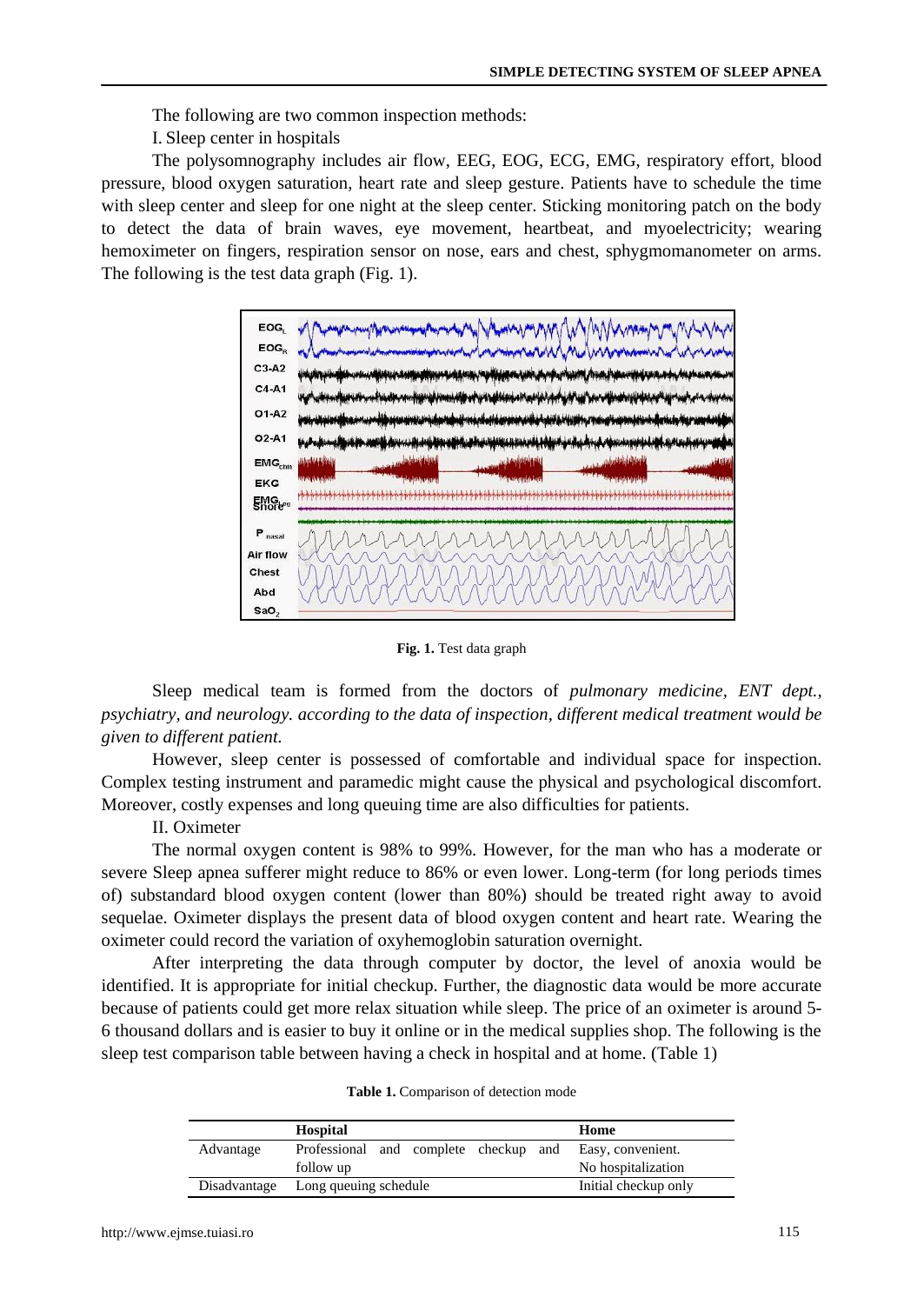The following are two common inspection methods:

I. Sleep center in hospitals

The polysomnography includes air flow, EEG, EOG, ECG, EMG, respiratory effort, blood pressure, blood oxygen saturation, heart rate and sleep gesture. Patients have to schedule the time with sleep center and sleep for one night at the sleep center. Sticking monitoring patch on the body to detect the data of brain waves, eye movement, heartbeat, and myoelectricity; wearing hemoximeter on fingers, respiration sensor on nose, ears and chest, sphygmomanometer on arms. The following is the test data graph (Fig. 1).



**Fig. 1.** Test data graph

Sleep medical team is formed from the doctors of *pulmonary medicine, ENT dept., psychiatry, and neurology. according to the data of inspection, different medical treatment would be given to different patient.*

However, sleep center is possessed of comfortable and individual space for inspection. Complex testing instrument and paramedic might cause the physical and psychological discomfort. Moreover, costly expenses and long queuing time are also difficulties for patients.

II. Oximeter

The normal oxygen content is 98% to 99%. However, for the man who has a moderate or severe Sleep apnea sufferer might reduce to 86% or even lower. Long-term (for long periods times of) substandard blood oxygen content (lower than 80%) should be treated right away to avoid sequelae. Oximeter displays the present data of blood oxygen content and heart rate. Wearing the oximeter could record the variation of oxyhemoglobin saturation overnight.

After interpreting the data through computer by doctor, the level of anoxia would be identified. It is appropriate for initial checkup. Further, the diagnostic data would be more accurate because of patients could get more relax situation while sleep. The price of an oximeter is around 5- 6 thousand dollars and is easier to buy it online or in the medical supplies shop. The following is the sleep test comparison table between having a check in hospital and at home. (Table 1)

|              | Hospital                              | Home                 |
|--------------|---------------------------------------|----------------------|
| Advantage    | Professional and complete checkup and | Easy, convenient.    |
|              | follow up                             | No hospitalization   |
| Disadvantage | Long queuing schedule                 | Initial checkup only |

**Table 1.** Comparison of detection mode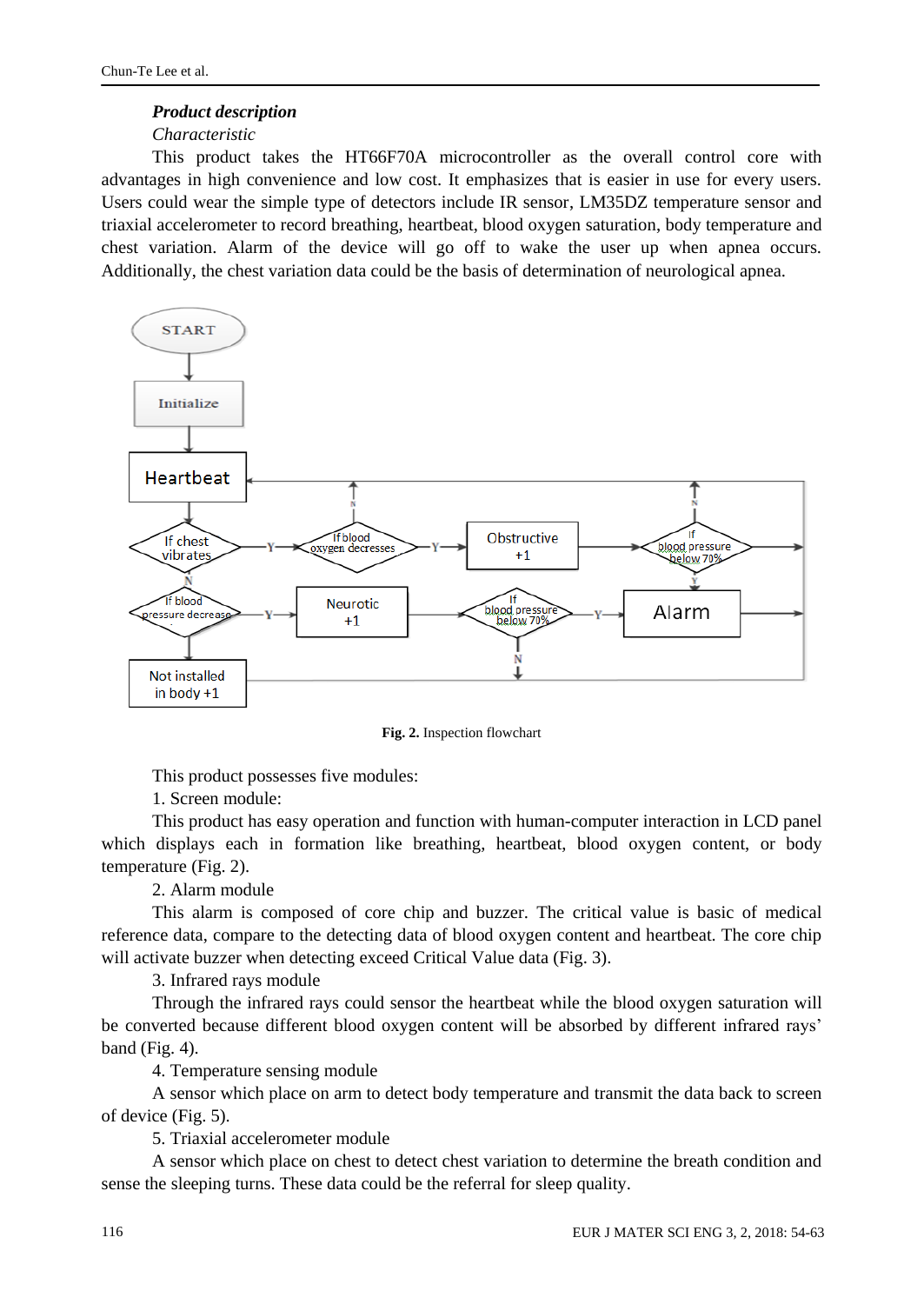# *Product description*

# *Characteristic*

This product takes the HT66F70A microcontroller as the overall control core with advantages in high convenience and low cost. It emphasizes that is easier in use for every users. Users could wear the simple type of detectors include IR sensor, LM35DZ temperature sensor and triaxial accelerometer to record breathing, heartbeat, blood oxygen saturation, body temperature and chest variation. Alarm of the device will go off to wake the user up when apnea occurs. Additionally, the chest variation data could be the basis of determination of neurological apnea.



**Fig. 2.** Inspection flowchart

This product possesses five modules:

1. Screen module:

This product has easy operation and function with human-computer interaction in LCD panel which displays each in formation like breathing, heartbeat, blood oxygen content, or body temperature (Fig. 2).

2. Alarm module

This alarm is composed of core chip and buzzer. The critical value is basic of medical reference data, compare to the detecting data of blood oxygen content and heartbeat. The core chip will activate buzzer when detecting exceed Critical Value data (Fig. 3).

3. Infrared rays module

Through the infrared rays could sensor the heartbeat while the blood oxygen saturation will be converted because different blood oxygen content will be absorbed by different infrared rays' band (Fig. 4).

4. Temperature sensing module

A sensor which place on arm to detect body temperature and transmit the data back to screen of device (Fig. 5).

5. Triaxial accelerometer module

A sensor which place on chest to detect chest variation to determine the breath condition and sense the sleeping turns. These data could be the referral for sleep quality.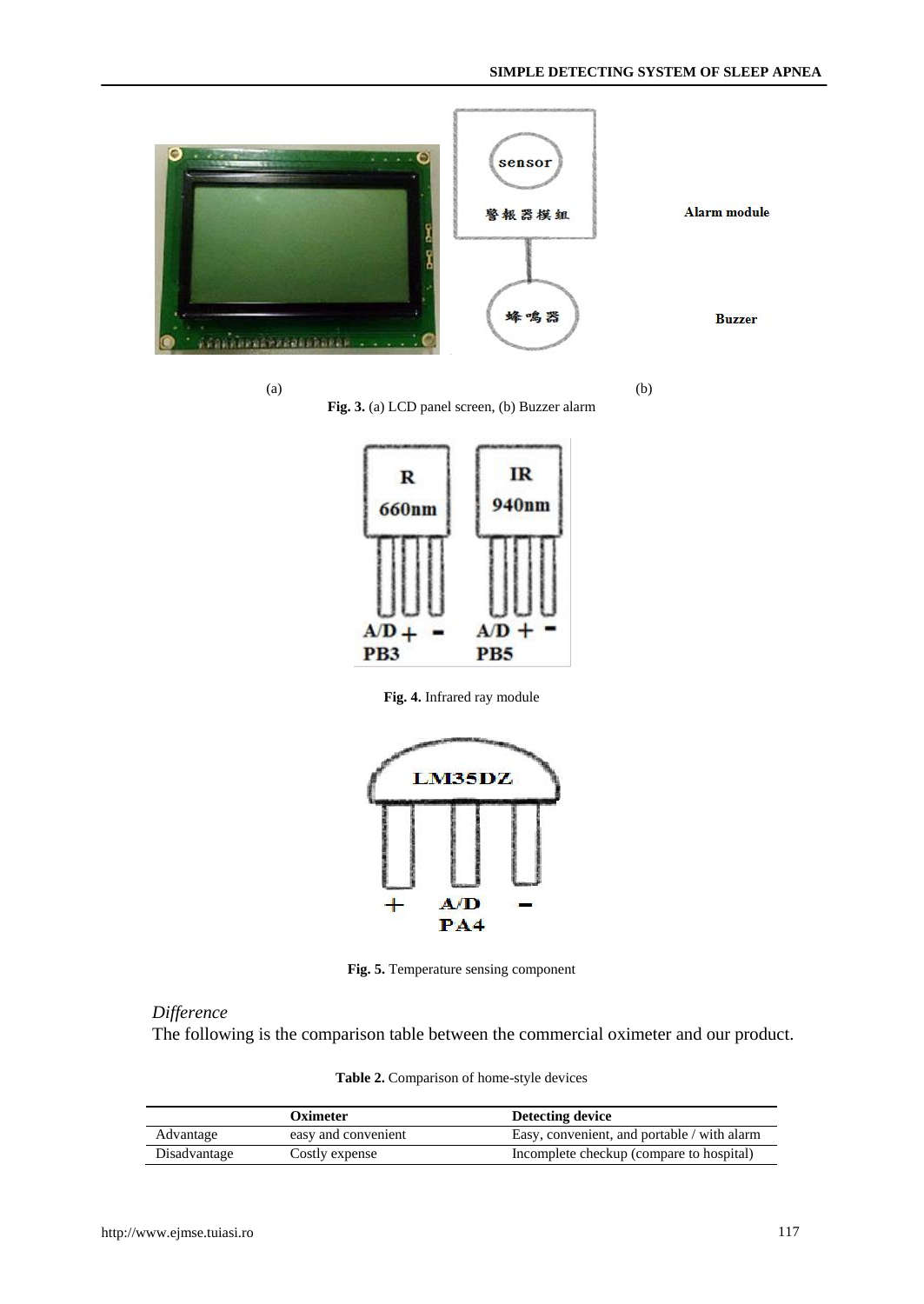



**Fig. 3.** (a) LCD panel screen, (b) Buzzer alarm



**Fig. 4.** Infrared ray module



**Fig. 5.** Temperature sensing component

# *Difference*

The following is the comparison table between the commercial oximeter and our product.

|  |  |  | Table 2. Comparison of home-style devices |  |
|--|--|--|-------------------------------------------|--|
|  |  |  |                                           |  |

|              | Oximeter            | Detecting device                            |
|--------------|---------------------|---------------------------------------------|
| Advantage    | easy and convenient | Easy, convenient, and portable / with alarm |
| Disadvantage | Costly expense      | Incomplete checkup (compare to hospital)    |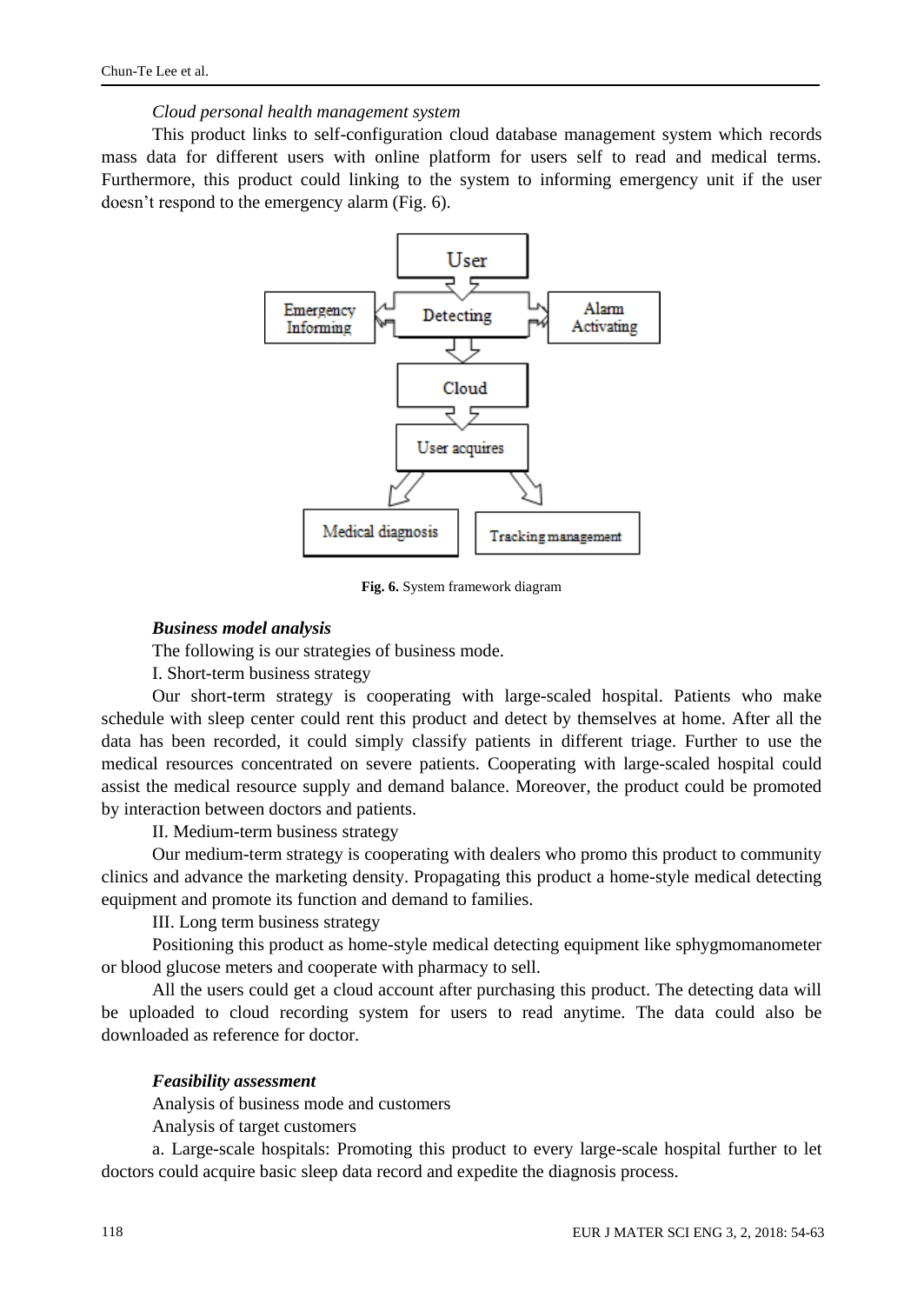#### *Cloud personal health management system*

This product links to self-configuration cloud database management system which records mass data for different users with online platform for users self to read and medical terms. Furthermore, this product could linking to the system to informing emergency unit if the user doesn't respond to the emergency alarm (Fig. 6).



**Fig. 6.** System framework diagram

#### *Business model analysis*

The following is our strategies of business mode.

I. Short-term business strategy

Our short-term strategy is cooperating with large-scaled hospital. Patients who make schedule with sleep center could rent this product and detect by themselves at home. After all the data has been recorded, it could simply classify patients in different triage. Further to use the medical resources concentrated on severe patients. Cooperating with large-scaled hospital could assist the medical resource supply and demand balance. Moreover, the product could be promoted by interaction between doctors and patients.

II. Medium-term business strategy

Our medium-term strategy is cooperating with dealers who promo this product to community clinics and advance the marketing density. Propagating this product a home-style medical detecting equipment and promote its function and demand to families.

III. Long term business strategy

Positioning this product as home-style medical detecting equipment like sphygmomanometer or blood glucose meters and cooperate with pharmacy to sell.

All the users could get a cloud account after purchasing this product. The detecting data will be uploaded to cloud recording system for users to read anytime. The data could also be downloaded as reference for doctor.

#### *Feasibility assessment*

Analysis of business mode and customers

Analysis of target customers

a. Large-scale hospitals: Promoting this product to every large-scale hospital further to let doctors could acquire basic sleep data record and expedite the diagnosis process.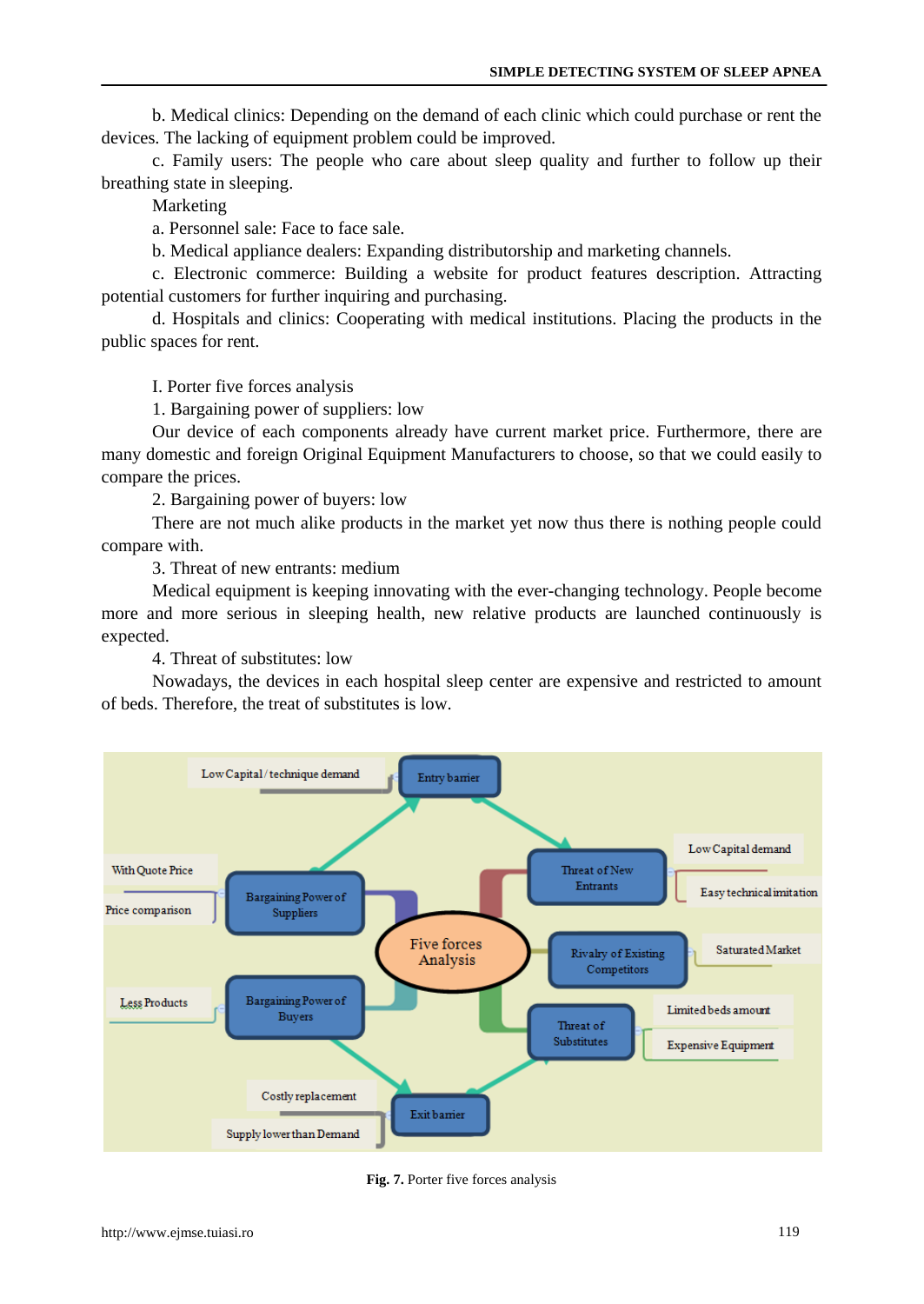b. Medical clinics: Depending on the demand of each clinic which could purchase or rent the devices. The lacking of equipment problem could be improved.

c. Family users: The people who care about sleep quality and further to follow up their breathing state in sleeping.

Marketing

a. Personnel sale: Face to face sale.

b. Medical appliance dealers: Expanding distributorship and marketing channels.

c. Electronic commerce: Building a website for product features description. Attracting potential customers for further inquiring and purchasing.

d. Hospitals and clinics: Cooperating with medical institutions. Placing the products in the public spaces for rent.

I. Porter five forces analysis

1. Bargaining power of suppliers: low

Our device of each components already have current market price. Furthermore, there are many domestic and foreign Original Equipment Manufacturers to choose, so that we could easily to compare the prices.

2. Bargaining power of buyers: low

There are not much alike products in the market yet now thus there is nothing people could compare with.

3. Threat of new entrants: medium

Medical equipment is keeping innovating with the ever-changing technology. People become more and more serious in sleeping health, new relative products are launched continuously is expected.

4. Threat of substitutes: low

Nowadays, the devices in each hospital sleep center are expensive and restricted to amount of beds. Therefore, the treat of substitutes is low.



**Fig. 7.** Porter five forces analysis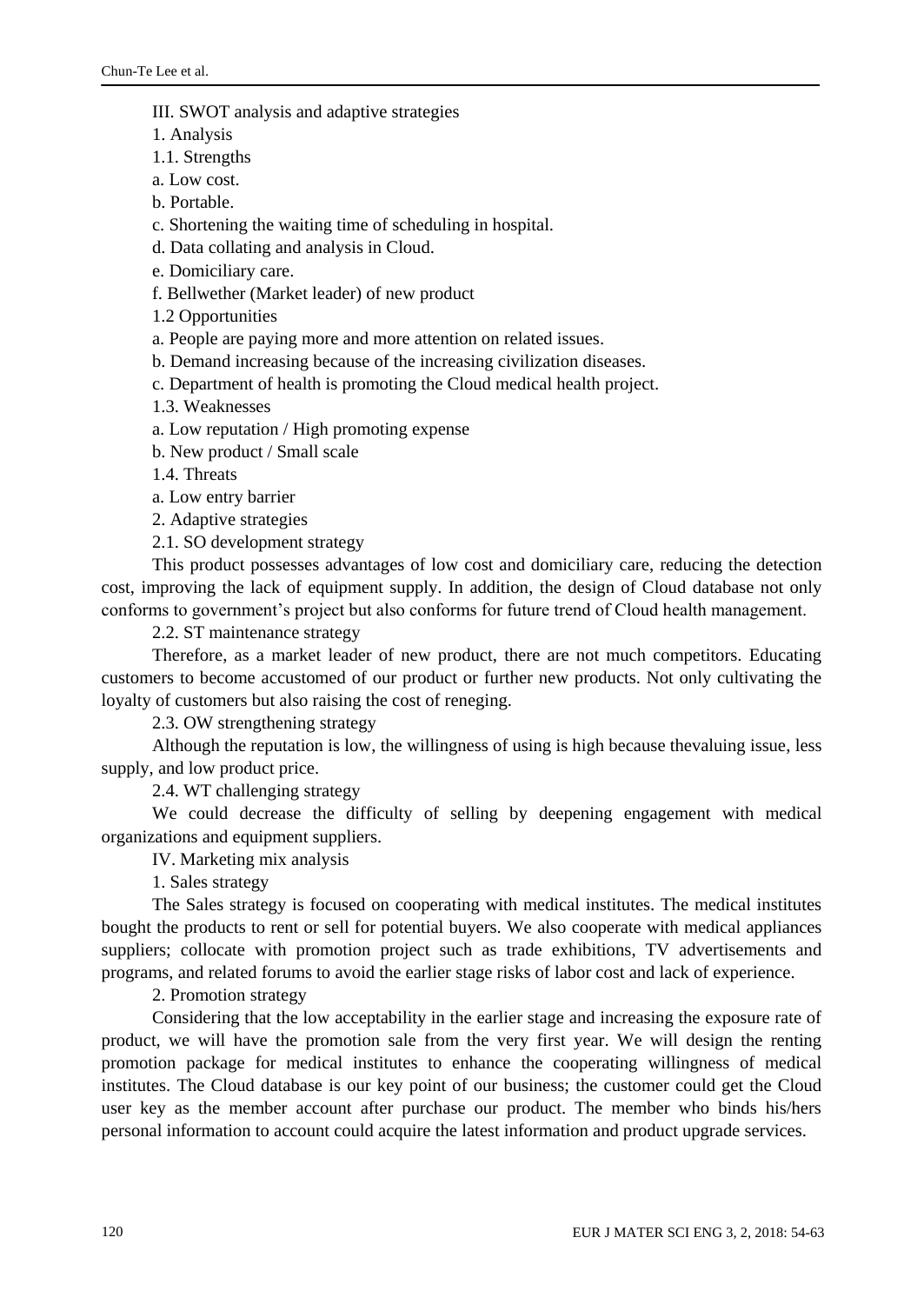### III. SWOT analysis and adaptive strategies

1. Analysis

1.1. Strengths

a. Low cost.

b. Portable.

c. Shortening the waiting time of scheduling in hospital.

d. Data collating and analysis in Cloud.

e. Domiciliary care.

f. Bellwether (Market leader) of new product

1.2 Opportunities

a. People are paying more and more attention on related issues.

b. Demand increasing because of the increasing civilization diseases.

c. Department of health is promoting the Cloud medical health project.

1.3. Weaknesses

a. Low reputation / High promoting expense

b. New product / Small scale

1.4. Threats

a. Low entry barrier

2. Adaptive strategies

2.1. SO development strategy

This product possesses advantages of low cost and domiciliary care, reducing the detection cost, improving the lack of equipment supply. In addition, the design of Cloud database not only conforms to government's project but also conforms for future trend of Cloud health management.

2.2. ST maintenance strategy

Therefore, as a market leader of new product, there are not much competitors. Educating customers to become accustomed of our product or further new products. Not only cultivating the loyalty of customers but also raising the cost of reneging.

2.3. OW strengthening strategy

Although the reputation is low, the willingness of using is high because thevaluing issue, less supply, and low product price.

2.4. WT challenging strategy

We could decrease the difficulty of selling by deepening engagement with medical organizations and equipment suppliers.

IV. Marketing mix analysis

1. Sales strategy

The Sales strategy is focused on cooperating with medical institutes. The medical institutes bought the products to rent or sell for potential buyers. We also cooperate with medical appliances suppliers; collocate with promotion project such as trade exhibitions, TV advertisements and programs, and related forums to avoid the earlier stage risks of labor cost and lack of experience.

2. Promotion strategy

Considering that the low acceptability in the earlier stage and increasing the exposure rate of product, we will have the promotion sale from the very first year. We will design the renting promotion package for medical institutes to enhance the cooperating willingness of medical institutes. The Cloud database is our key point of our business; the customer could get the Cloud user key as the member account after purchase our product. The member who binds his/hers personal information to account could acquire the latest information and product upgrade services.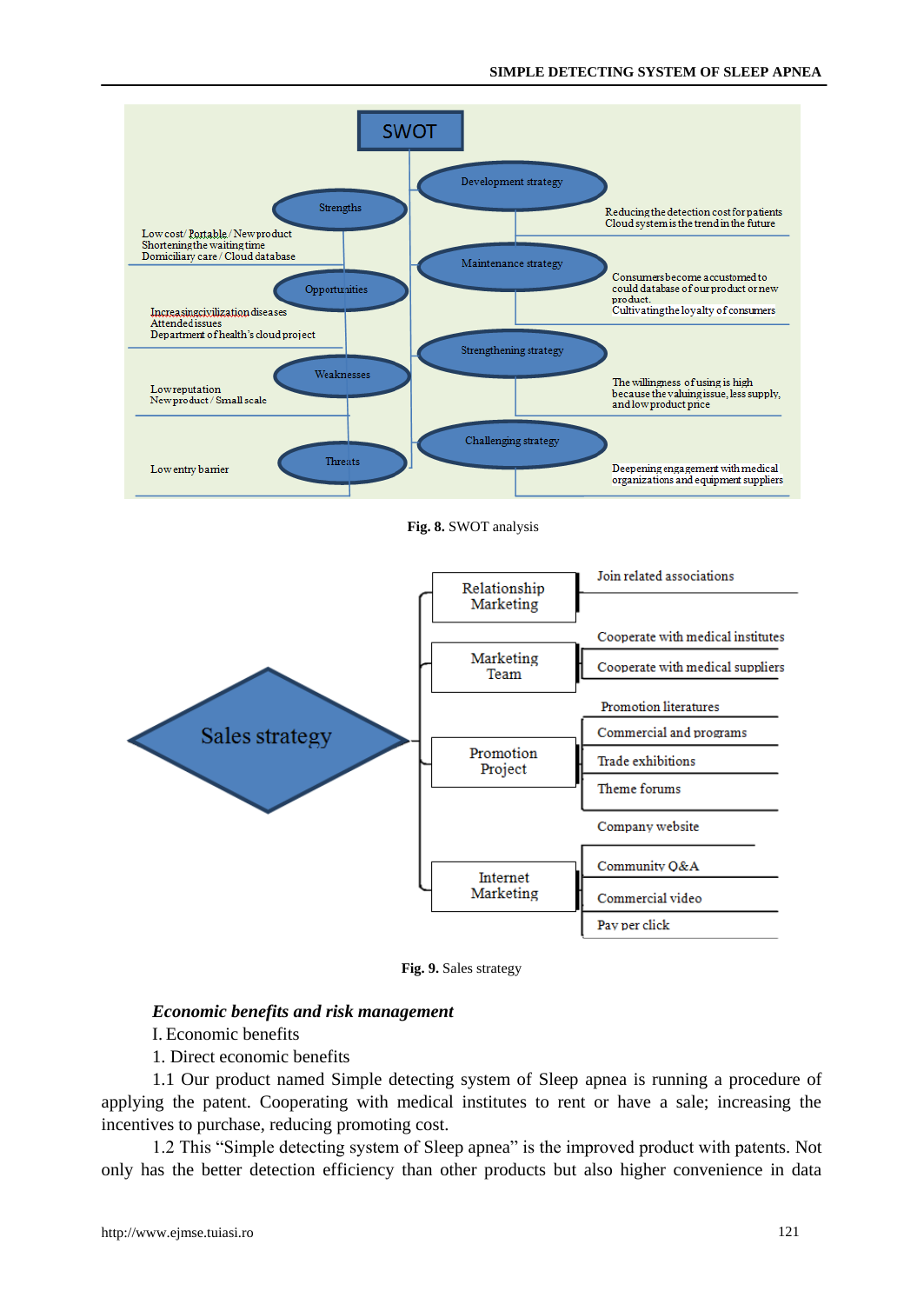

**Fig. 8.** SWOT analysis



**Fig. 9.** Sales strategy

## *Economic benefits and risk management*

I. Economic benefits

1. Direct economic benefits

1.1 Our product named Simple detecting system of Sleep apnea is running a procedure of applying the patent. Cooperating with medical institutes to rent or have a sale; increasing the incentives to purchase, reducing promoting cost.

1.2 This "Simple detecting system of Sleep apnea" is the improved product with patents. Not only has the better detection efficiency than other products but also higher convenience in data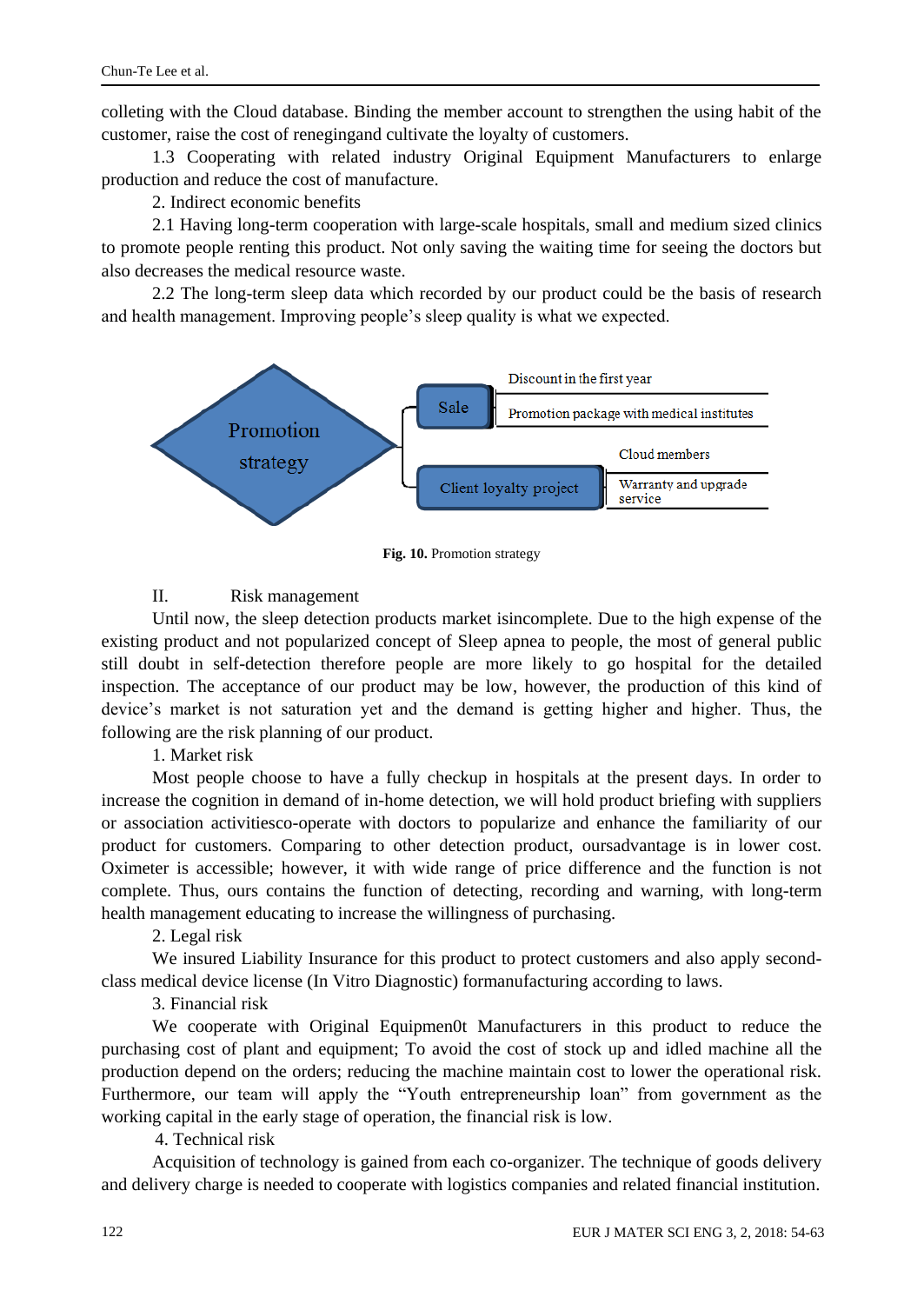colleting with the Cloud database. Binding the member account to strengthen the using habit of the customer, raise the cost of renegingand cultivate the loyalty of customers.

1.3 Cooperating with related industry Original Equipment Manufacturers to enlarge production and reduce the cost of manufacture.

2. Indirect economic benefits

2.1 Having long-term cooperation with large-scale hospitals, small and medium sized clinics to promote people renting this product. Not only saving the waiting time for seeing the doctors but also decreases the medical resource waste.

2.2 The long-term sleep data which recorded by our product could be the basis of research and health management. Improving people's sleep quality is what we expected.



**Fig. 10.** Promotion strategy

# II. Risk management

Until now, the sleep detection products market isincomplete. Due to the high expense of the existing product and not popularized concept of Sleep apnea to people, the most of general public still doubt in self-detection therefore people are more likely to go hospital for the detailed inspection. The acceptance of our product may be low, however, the production of this kind of device's market is not saturation yet and the demand is getting higher and higher. Thus, the following are the risk planning of our product.

1. Market risk

Most people choose to have a fully checkup in hospitals at the present days. In order to increase the cognition in demand of in-home detection, we will hold product briefing with suppliers or association activitiesco-operate with doctors to popularize and enhance the familiarity of our product for customers. Comparing to other detection product, oursadvantage is in lower cost. Oximeter is accessible; however, it with wide range of price difference and the function is not complete. Thus, ours contains the function of detecting, recording and warning, with long-term health management educating to increase the willingness of purchasing.

2. Legal risk

We insured Liability Insurance for this product to protect customers and also apply secondclass medical device license (In Vitro Diagnostic) formanufacturing according to laws.

3. Financial risk

We cooperate with Original Equipmen0t Manufacturers in this product to reduce the purchasing cost of plant and equipment; To avoid the cost of stock up and idled machine all the production depend on the orders; reducing the machine maintain cost to lower the operational risk. Furthermore, our team will apply the "Youth entrepreneurship loan" from government as the working capital in the early stage of operation, the financial risk is low.

4. Technical risk

Acquisition of technology is gained from each co-organizer. The technique of goods delivery and delivery charge is needed to cooperate with logistics companies and related financial institution.